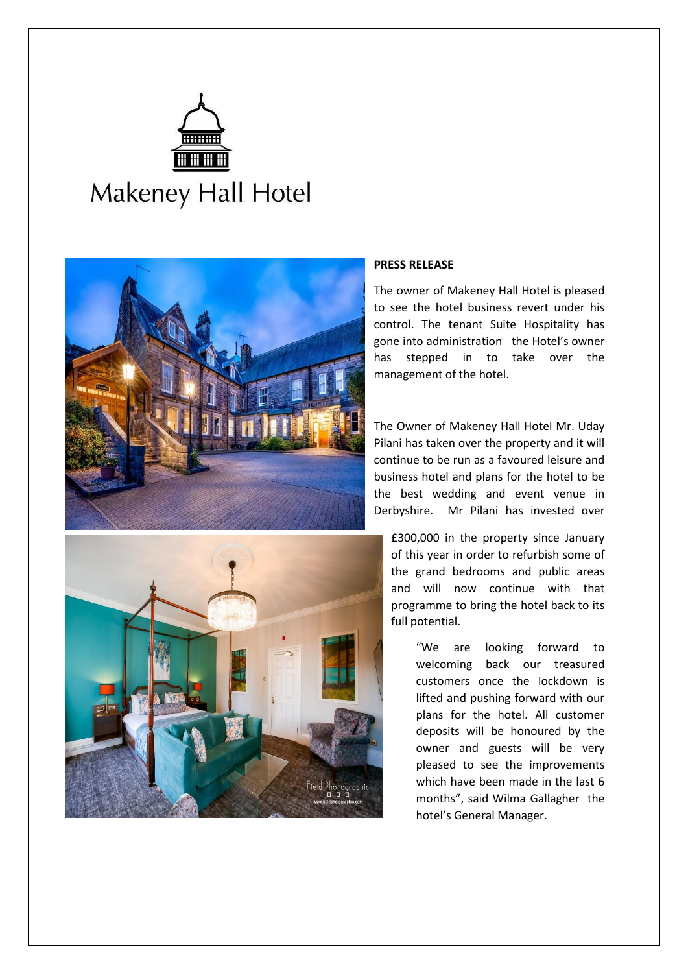





## **PRESS RELEASE**

The owner of Makeney Hall Hotel is pleased to see the hotel business revert under his control. The tenant Suite Hospitality has gone into administration the Hotel's owner has stepped in to take over the management of the hotel.

The Owner of Makeney Hall Hotel Mr. Uday Pilani has taken over the property and it will continue to be run as a favoured leisure and business hotel and plans for the hotel to be the best wedding and event venue in Derbyshire. Mr Pilani has invested over

£300,000 in the property since January of this year in order to refurbish some of the grand bedrooms and public areas and will now continue with that programme to bring the hotel back to its full potential.

> "We are looking forward to welcoming back our treasured customers once the lockdown is lifted and pushing forward with our plans for the hotel. All customer deposits will be honoured by the owner and guests will be very pleased to see the improvements which have been made in the last 6 months", said Wilma Gallagher the hotel's General Manager.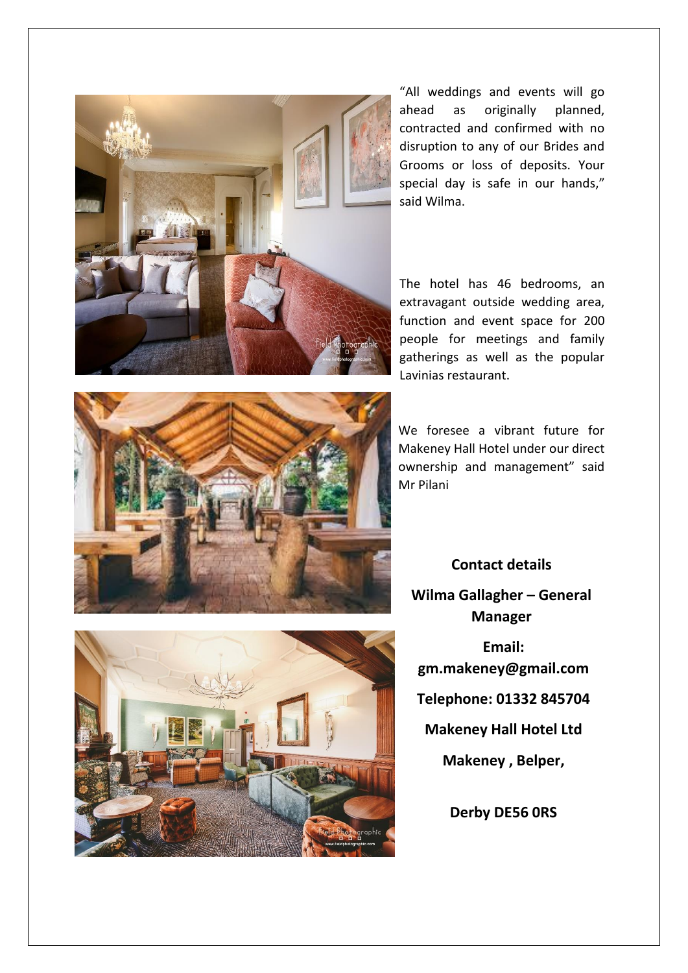

"All weddings and events will go ahead as originally planned, contracted and confirmed with no disruption to any of our Brides and Grooms or loss of deposits. Your special day is safe in our hands," said Wilma.

The hotel has 46 bedrooms, an extravagant outside wedding area, function and event space for 200 people for meetings and family gatherings as well as the popular Lavinias restaurant.



We foresee a vibrant future for Makeney Hall Hotel under our direct ownership and management" said Mr Pilani

**Contact details Wilma Gallagher – General Manager Email: gm.makeney@gmail.com Telephone: 01332 845704 Makeney Hall Hotel Ltd Makeney , Belper,**

**Derby DE56 0RS**